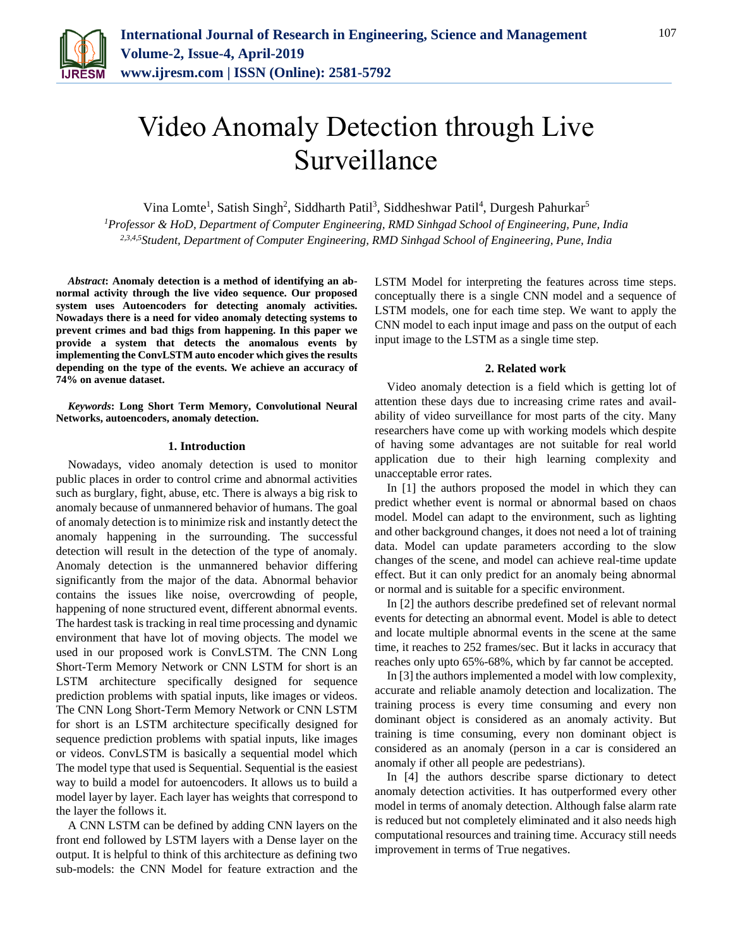

# Video Anomaly Detection through Live Surveillance

Vina Lomte<sup>1</sup>, Satish Singh<sup>2</sup>, Siddharth Patil<sup>3</sup>, Siddheshwar Patil<sup>4</sup>, Durgesh Pahurkar<sup>5</sup>

*<sup>1</sup>Professor & HoD, Department of Computer Engineering, RMD Sinhgad School of Engineering, Pune, India 2,3,4,5Student, Department of Computer Engineering, RMD Sinhgad School of Engineering, Pune, India*

*Abstract***: Anomaly detection is a method of identifying an abnormal activity through the live video sequence. Our proposed system uses Autoencoders for detecting anomaly activities. Nowadays there is a need for video anomaly detecting systems to prevent crimes and bad thigs from happening. In this paper we provide a system that detects the anomalous events by implementing the ConvLSTM auto encoder which gives the results depending on the type of the events. We achieve an accuracy of 74% on avenue dataset.**

*Keywords***: Long Short Term Memory, Convolutional Neural Networks, autoencoders, anomaly detection.**

## **1. Introduction**

Nowadays, video anomaly detection is used to monitor public places in order to control crime and abnormal activities such as burglary, fight, abuse, etc. There is always a big risk to anomaly because of unmannered behavior of humans. The goal of anomaly detection is to minimize risk and instantly detect the anomaly happening in the surrounding. The successful detection will result in the detection of the type of anomaly. Anomaly detection is the unmannered behavior differing significantly from the major of the data. Abnormal behavior contains the issues like noise, overcrowding of people, happening of none structured event, different abnormal events. The hardest task is tracking in real time processing and dynamic environment that have lot of moving objects. The model we used in our proposed work is ConvLSTM. The CNN Long Short-Term Memory Network or CNN LSTM for short is an LSTM architecture specifically designed for sequence prediction problems with spatial inputs, like images or videos. The CNN Long Short-Term Memory Network or CNN LSTM for short is an LSTM architecture specifically designed for sequence prediction problems with spatial inputs, like images or videos. ConvLSTM is basically a sequential model which The model type that used is Sequential. Sequential is the easiest way to build a model for autoencoders. It allows us to build a model layer by layer. Each layer has weights that correspond to the layer the follows it.

A CNN LSTM can be defined by adding CNN layers on the front end followed by LSTM layers with a Dense layer on the output. It is helpful to think of this architecture as defining two sub-models: the CNN Model for feature extraction and the

LSTM Model for interpreting the features across time steps. conceptually there is a single CNN model and a sequence of LSTM models, one for each time step. We want to apply the CNN model to each input image and pass on the output of each input image to the LSTM as a single time step.

## **2. Related work**

Video anomaly detection is a field which is getting lot of attention these days due to increasing crime rates and availability of video surveillance for most parts of the city. Many researchers have come up with working models which despite of having some advantages are not suitable for real world application due to their high learning complexity and unacceptable error rates.

In [1] the authors proposed the model in which they can predict whether event is normal or abnormal based on chaos model. Model can adapt to the environment, such as lighting and other background changes, it does not need a lot of training data. Model can update parameters according to the slow changes of the scene, and model can achieve real-time update effect. But it can only predict for an anomaly being abnormal or normal and is suitable for a specific environment.

In [2] the authors describe predefined set of relevant normal events for detecting an abnormal event. Model is able to detect and locate multiple abnormal events in the scene at the same time, it reaches to 252 frames/sec. But it lacks in accuracy that reaches only upto 65%-68%, which by far cannot be accepted.

In [3] the authors implemented a model with low complexity, accurate and reliable anamoly detection and localization. The training process is every time consuming and every non dominant object is considered as an anomaly activity. But training is time consuming, every non dominant object is considered as an anomaly (person in a car is considered an anomaly if other all people are pedestrians).

In [4] the authors describe sparse dictionary to detect anomaly detection activities. It has outperformed every other model in terms of anomaly detection. Although false alarm rate is reduced but not completely eliminated and it also needs high computational resources and training time. Accuracy still needs improvement in terms of True negatives.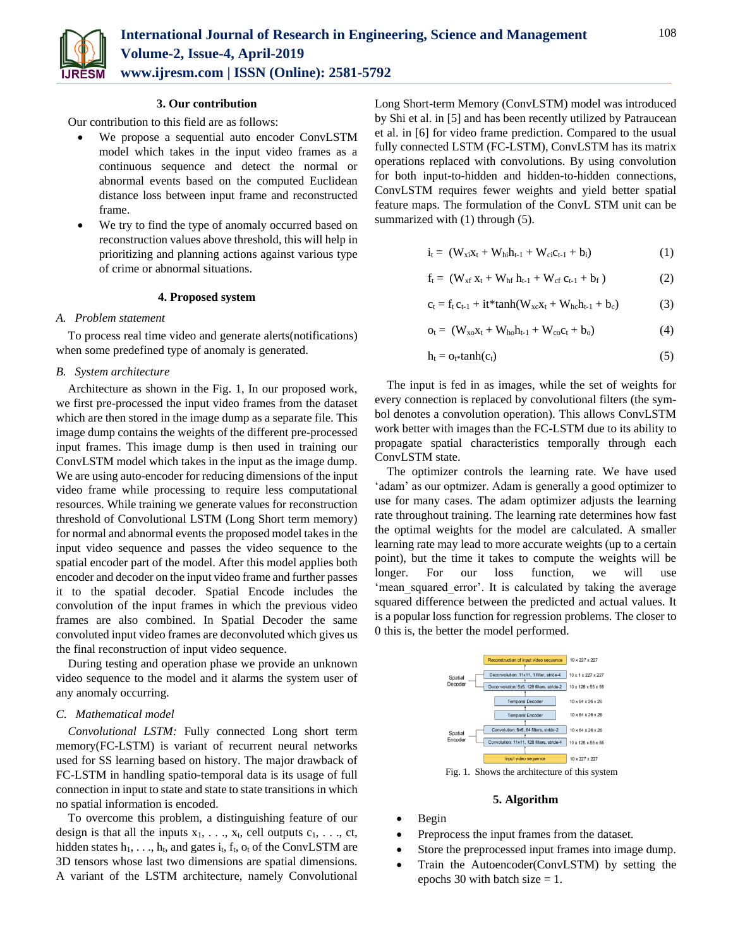

## **3. Our contribution**

Our contribution to this field are as follows:

- We propose a sequential auto encoder ConvLSTM model which takes in the input video frames as a continuous sequence and detect the normal or abnormal events based on the computed Euclidean distance loss between input frame and reconstructed frame.
- We try to find the type of anomaly occurred based on reconstruction values above threshold, this will help in prioritizing and planning actions against various type of crime or abnormal situations.

## **4. Proposed system**

## *A. Problem statement*

To process real time video and generate alerts(notifications) when some predefined type of anomaly is generated.

## *B. System architecture*

Architecture as shown in the Fig. 1, In our proposed work, we first pre-processed the input video frames from the dataset which are then stored in the image dump as a separate file. This image dump contains the weights of the different pre-processed input frames. This image dump is then used in training our ConvLSTM model which takes in the input as the image dump. We are using auto-encoder for reducing dimensions of the input video frame while processing to require less computational resources. While training we generate values for reconstruction threshold of Convolutional LSTM (Long Short term memory) for normal and abnormal events the proposed model takes in the input video sequence and passes the video sequence to the spatial encoder part of the model. After this model applies both encoder and decoder on the input video frame and further passes it to the spatial decoder. Spatial Encode includes the convolution of the input frames in which the previous video frames are also combined. In Spatial Decoder the same convoluted input video frames are deconvoluted which gives us the final reconstruction of input video sequence.

During testing and operation phase we provide an unknown video sequence to the model and it alarms the system user of any anomaly occurring.

## *C. Mathematical model*

*Convolutional LSTM:* Fully connected Long short term memory(FC-LSTM) is variant of recurrent neural networks used for SS learning based on history. The major drawback of FC-LSTM in handling spatio-temporal data is its usage of full connection in input to state and state to state transitions in which no spatial information is encoded.

To overcome this problem, a distinguishing feature of our design is that all the inputs  $x_1, \ldots, x_t$ , cell outputs  $c_1, \ldots, c_t$ , hidden states  $h_1, \ldots, h_t$ , and gates  $i_t$ ,  $f_t$ ,  $o_t$  of the ConvLSTM are 3D tensors whose last two dimensions are spatial dimensions. A variant of the LSTM architecture, namely Convolutional Long Short-term Memory (ConvLSTM) model was introduced by Shi et al. in [5] and has been recently utilized by Patraucean et al. in [6] for video frame prediction. Compared to the usual fully connected LSTM (FC-LSTM), ConvLSTM has its matrix operations replaced with convolutions. By using convolution for both input-to-hidden and hidden-to-hidden connections, ConvLSTM requires fewer weights and yield better spatial feature maps. The formulation of the ConvL STM unit can be summarized with (1) through (5).

$$
i_{t} = (W_{xi}x_{t} + W_{hi}h_{t-1} + W_{ci}c_{t-1} + b_{i})
$$
 (1)

$$
f_t = (W_{xf} x_t + W_{hf} h_{t-1} + W_{cf} c_{t-1} + b_f)
$$
 (2)

$$
c_t = f_t c_{t-1} + it^* \tanh(W_{xc} x_t + W_{hc} h_{t-1} + b_c)
$$
 (3)

$$
o_t = (W_{xo}x_t + W_{ho}h_{t-1} + W_{co}c_t + b_o)
$$
 (4)

$$
h_t = o_{t^*} \tanh(c_t) \tag{5}
$$

The input is fed in as images, while the set of weights for every connection is replaced by convolutional filters (the symbol denotes a convolution operation). This allows ConvLSTM work better with images than the FC-LSTM due to its ability to propagate spatial characteristics temporally through each ConvLSTM state.

The optimizer controls the learning rate. We have used 'adam' as our optmizer. Adam is generally a good optimizer to use for many cases. The adam optimizer adjusts the learning rate throughout training. The learning rate determines how fast the optimal weights for the model are calculated. A smaller learning rate may lead to more accurate weights (up to a certain point), but the time it takes to compute the weights will be longer. For our loss function, we will use 'mean squared error'. It is calculated by taking the average squared difference between the predicted and actual values. It is a popular loss function for regression problems. The closer to 0 this is, the better the model performed.



# **5. Algorithm**

- Begin
- Preprocess the input frames from the dataset.
- Store the preprocessed input frames into image dump.
- Train the Autoencoder(ConvLSTM) by setting the epochs 30 with batch size  $= 1$ .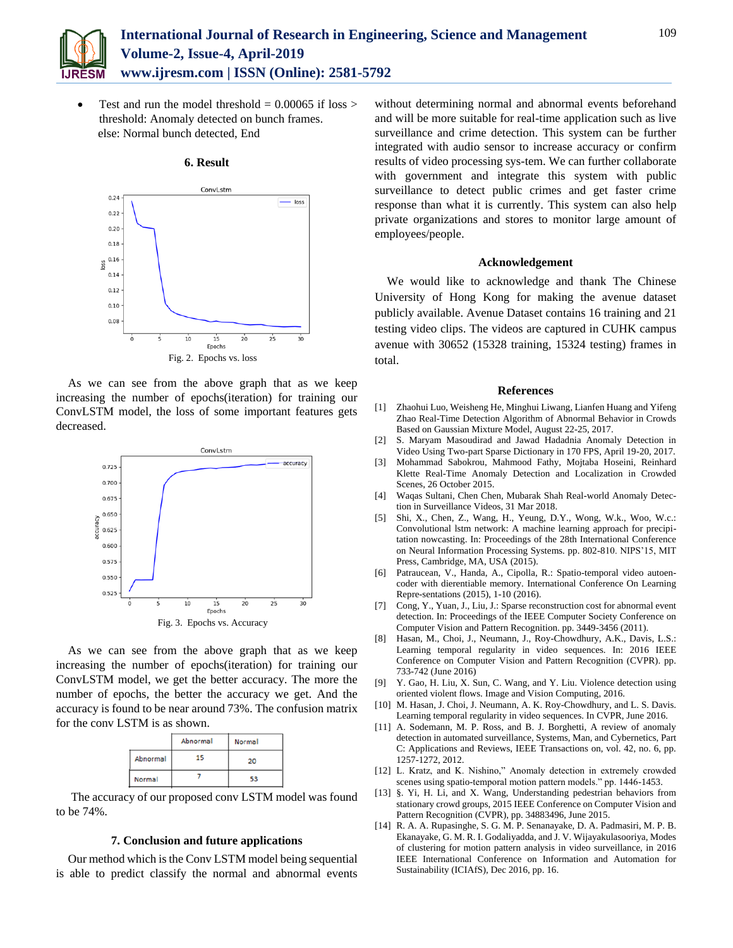

Test and run the model threshold  $= 0.00065$  if loss  $>$ threshold: Anomaly detected on bunch frames. else: Normal bunch detected, End



#### **6. Result**

As we can see from the above graph that as we keep increasing the number of epochs(iteration) for training our ConvLSTM model, the loss of some important features gets decreased.



As we can see from the above graph that as we keep increasing the number of epochs(iteration) for training our ConvLSTM model, we get the better accuracy. The more the number of epochs, the better the accuracy we get. And the accuracy is found to be near around 73%. The confusion matrix for the conv LSTM is as shown.

|  |          | Abnormal | Normal |
|--|----------|----------|--------|
|  | Abnormal |          | 20     |
|  | Normal   |          |        |

The accuracy of our proposed conv LSTM model was found to be 74%.

## **7. Conclusion and future applications**

Our method which is the Conv LSTM model being sequential is able to predict classify the normal and abnormal events without determining normal and abnormal events beforehand and will be more suitable for real-time application such as live surveillance and crime detection. This system can be further integrated with audio sensor to increase accuracy or confirm results of video processing sys-tem. We can further collaborate with government and integrate this system with public surveillance to detect public crimes and get faster crime response than what it is currently. This system can also help private organizations and stores to monitor large amount of employees/people.

## **Acknowledgement**

We would like to acknowledge and thank The Chinese University of Hong Kong for making the avenue dataset publicly available. Avenue Dataset contains 16 training and 21 testing video clips. The videos are captured in CUHK campus avenue with 30652 (15328 training, 15324 testing) frames in total.

#### **References**

- [1] Zhaohui Luo, Weisheng He, Minghui Liwang, Lianfen Huang and Yifeng Zhao Real-Time Detection Algorithm of Abnormal Behavior in Crowds Based on Gaussian Mixture Model, August 22-25, 2017.
- [2] S. Maryam Masoudirad and Jawad Hadadnia Anomaly Detection in Video Using Two-part Sparse Dictionary in 170 FPS, April 19-20, 2017.
- [3] Mohammad Sabokrou, Mahmood Fathy, Mojtaba Hoseini, Reinhard Klette Real-Time Anomaly Detection and Localization in Crowded Scenes, 26 October 2015.
- [4] Waqas Sultani, Chen Chen, Mubarak Shah Real-world Anomaly Detection in Surveillance Videos, 31 Mar 2018.
- [5] Shi, X., Chen, Z., Wang, H., Yeung, D.Y., Wong, W.k., Woo, W.c.: Convolutional lstm network: A machine learning approach for precipitation nowcasting. In: Proceedings of the 28th International Conference on Neural Information Processing Systems. pp. 802-810. NIPS'15, MIT Press, Cambridge, MA, USA (2015).
- [6] Patraucean, V., Handa, A., Cipolla, R.: Spatio-temporal video autoencoder with dierentiable memory. International Conference On Learning Repre-sentations (2015), 1-10 (2016).
- [7] Cong, Y., Yuan, J., Liu, J.: Sparse reconstruction cost for abnormal event detection. In: Proceedings of the IEEE Computer Society Conference on Computer Vision and Pattern Recognition. pp. 3449-3456 (2011).
- [8] Hasan, M., Choi, J., Neumann, J., Roy-Chowdhury, A.K., Davis, L.S.: Learning temporal regularity in video sequences. In: 2016 IEEE Conference on Computer Vision and Pattern Recognition (CVPR). pp. 733-742 (June 2016)
- [9] Y. Gao, H. Liu, X. Sun, C. Wang, and Y. Liu. Violence detection using oriented violent flows. Image and Vision Computing, 2016.
- [10] M. Hasan, J. Choi, J. Neumann, A. K. Roy-Chowdhury, and L. S. Davis. Learning temporal regularity in video sequences. In CVPR, June 2016.
- [11] A. Sodemann, M. P. Ross, and B. J. Borghetti, A review of anomaly detection in automated surveillance, Systems, Man, and Cybernetics, Part C: Applications and Reviews, IEEE Transactions on, vol. 42, no. 6, pp. 1257-1272, 2012.
- [12] L. Kratz, and K. Nishino," Anomaly detection in extremely crowded scenes using spatio-temporal motion pattern models." pp. 1446-1453.
- [13] §. Yi, H. Li, and X. Wang, Understanding pedestrian behaviors from stationary crowd groups, 2015 IEEE Conference on Computer Vision and Pattern Recognition (CVPR), pp. 34883496, June 2015.
- [14] R. A. A. Rupasinghe, S. G. M. P. Senanayake, D. A. Padmasiri, M. P. B. Ekanayake, G. M. R. I. Godaliyadda, and J. V. Wijayakulasooriya, Modes of clustering for motion pattern analysis in video surveillance, in 2016 IEEE International Conference on Information and Automation for Sustainability (ICIAfS), Dec 2016, pp. 16.